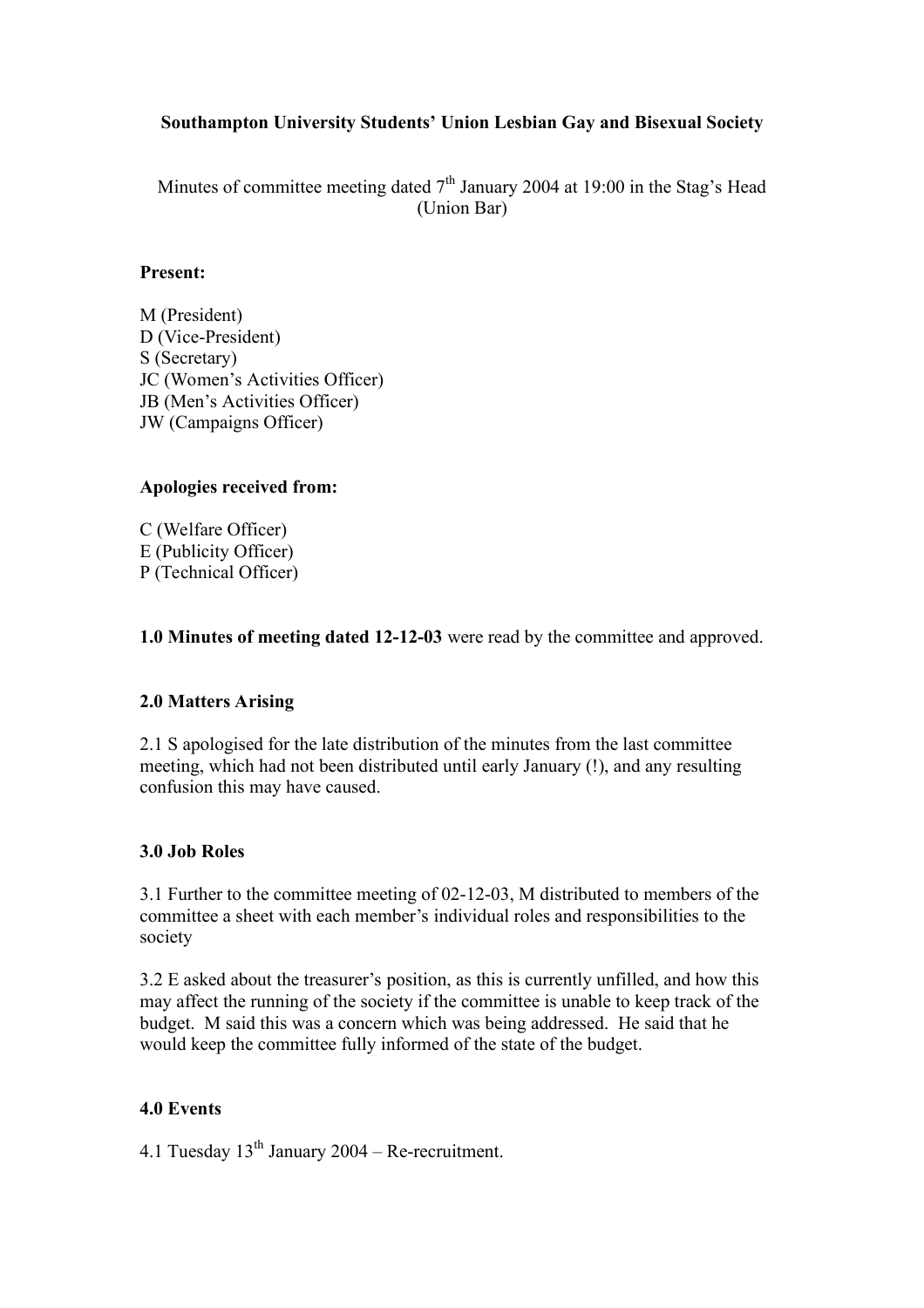# **Southampton University Students' Union Lesbian Gay and Bisexual Society**

Minutes of committee meeting dated  $7<sup>th</sup>$  January 2004 at 19:00 in the Stag's Head (Union Bar)

## **Present:**

M (President) D (Vice-President) S (Secretary) JC (Women's Activities Officer) JB (Men's Activities Officer) JW (Campaigns Officer)

# **Apologies received from:**

C (Welfare Officer) E (Publicity Officer) P (Technical Officer)

**1.0 Minutes of meeting dated 12-12-03** were read by the committee and approved.

# **2.0 Matters Arising**

2.1 S apologised for the late distribution of the minutes from the last committee meeting, which had not been distributed until early January (!), and any resulting confusion this may have caused.

# **3.0 Job Roles**

3.1 Further to the committee meeting of 02-12-03, M distributed to members of the committee a sheet with each member's individual roles and responsibilities to the society

3.2 E asked about the treasurer's position, as this is currently unfilled, and how this may affect the running of the society if the committee is unable to keep track of the budget. M said this was a concern which was being addressed. He said that he would keep the committee fully informed of the state of the budget.

# **4.0 Events**

4.1 Tuesday  $13<sup>th</sup>$  January 2004 – Re-recruitment.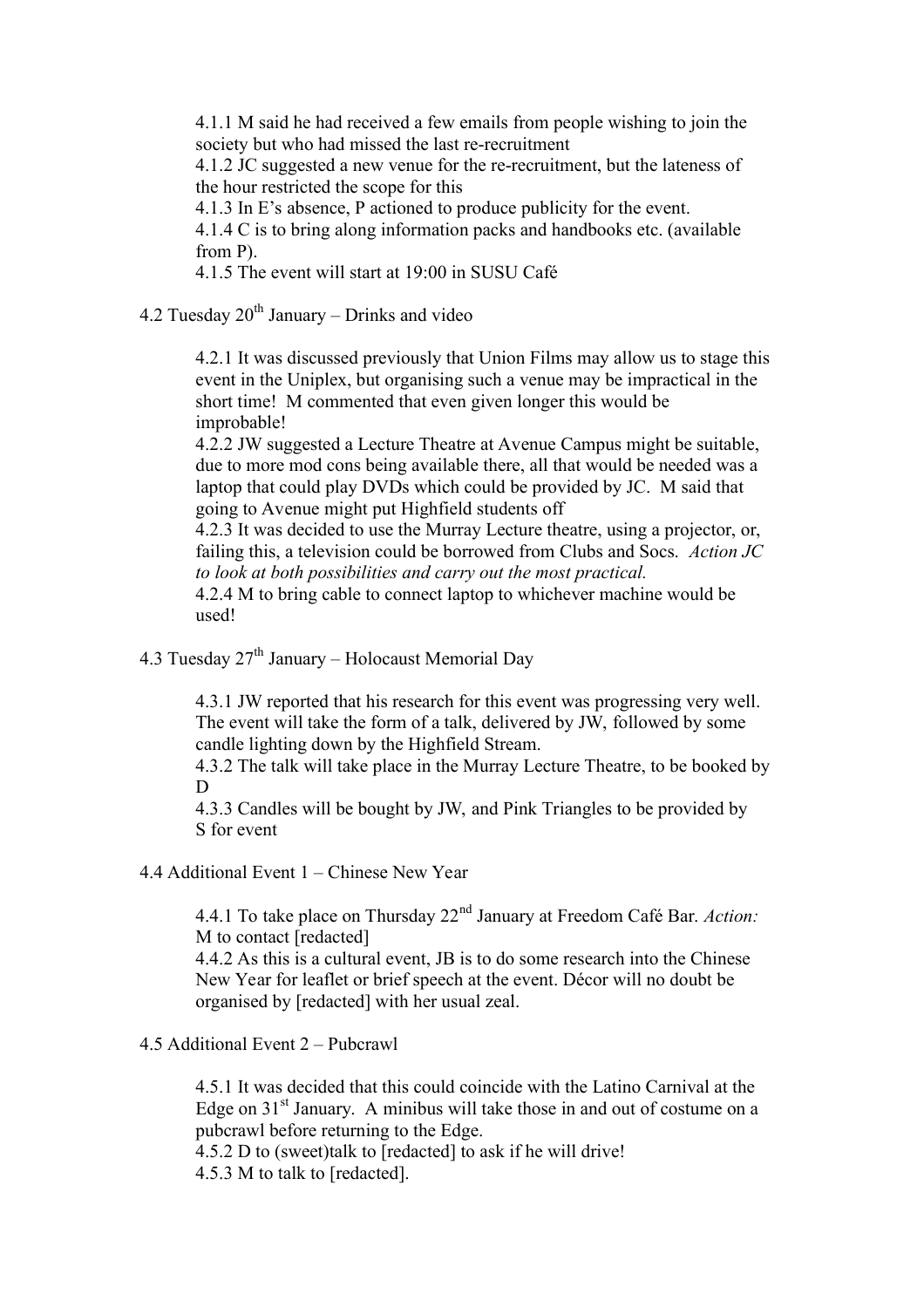4.1.1 M said he had received a few emails from people wishing to join the society but who had missed the last re-recruitment

4.1.2 JC suggested a new venue for the re-recruitment, but the lateness of the hour restricted the scope for this

4.1.3 In E's absence, P actioned to produce publicity for the event.

4.1.4 C is to bring along information packs and handbooks etc. (available from P).

4.1.5 The event will start at 19:00 in SUSU Café

4.2 Tuesday  $20^{th}$  January – Drinks and video

4.2.1 It was discussed previously that Union Films may allow us to stage this event in the Uniplex, but organising such a venue may be impractical in the short time! M commented that even given longer this would be improbable!

4.2.2 JW suggested a Lecture Theatre at Avenue Campus might be suitable, due to more mod cons being available there, all that would be needed was a laptop that could play DVDs which could be provided by JC. M said that going to Avenue might put Highfield students off

4.2.3 It was decided to use the Murray Lecture theatre, using a projector, or, failing this, a television could be borrowed from Clubs and Socs. *Action JC to look at both possibilities and carry out the most practical.* 

4.2.4 M to bring cable to connect laptop to whichever machine would be used!

4.3 Tuesday  $27<sup>th</sup>$  January – Holocaust Memorial Day

4.3.1 JW reported that his research for this event was progressing very well. The event will take the form of a talk, delivered by JW, followed by some candle lighting down by the Highfield Stream.

4.3.2 The talk will take place in the Murray Lecture Theatre, to be booked by D

4.3.3 Candles will be bought by JW, and Pink Triangles to be provided by S for event

#### 4.4 Additional Event 1 – Chinese New Year

4.4.1 To take place on Thursday 22nd January at Freedom Café Bar. *Action:*  M to contact [redacted]

4.4.2 As this is a cultural event, JB is to do some research into the Chinese New Year for leaflet or brief speech at the event. Décor will no doubt be organised by [redacted] with her usual zeal.

## 4.5 Additional Event 2 – Pubcrawl

4.5.1 It was decided that this could coincide with the Latino Carnival at the Edge on  $31<sup>st</sup>$  January. A minibus will take those in and out of costume on a pubcrawl before returning to the Edge.

4.5.2 D to (sweet)talk to [redacted] to ask if he will drive! 4.5.3 M to talk to [redacted].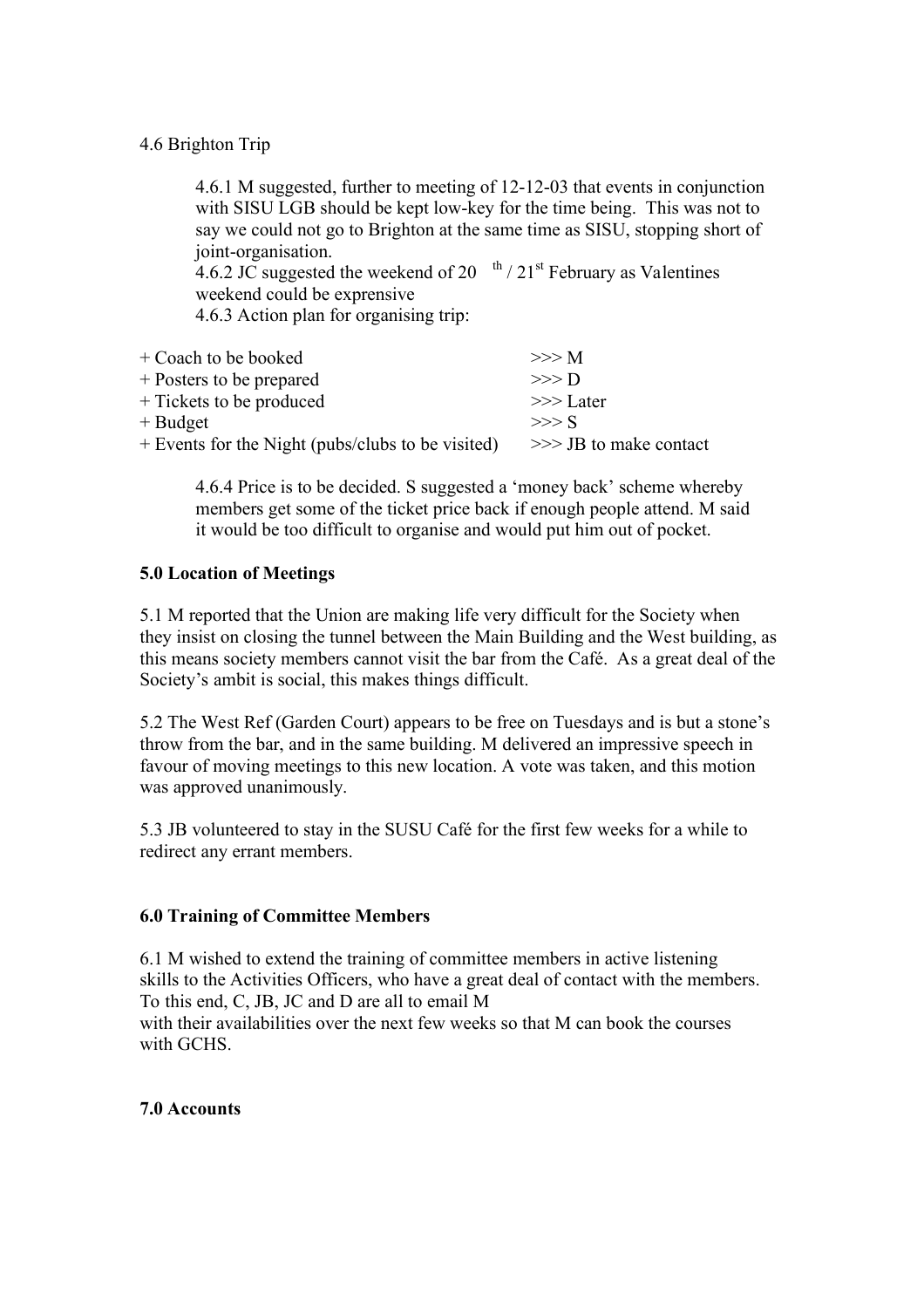# 4.6 Brighton Trip

4.6.1 M suggested, further to meeting of 12-12-03 that events in conjunction with SISU LGB should be kept low-key for the time being. This was not to say we could not go to Brighton at the same time as SISU, stopping short of joint-organisation.

4.6.2 JC suggested the weekend of 20  $\mathrm{th}$  / 21st February as Valentines weekend could be exprensive

4.6.3 Action plan for organising trip:

| + Coach to be booked                              | >>> M                   |
|---------------------------------------------------|-------------------------|
| + Posters to be prepared                          | $>>$ D                  |
| + Tickets to be produced                          | $>>$ Later              |
| $+$ Budget                                        | $>>>$ S                 |
| + Events for the Night (pubs/clubs to be visited) | $>>$ JB to make contact |

4.6.4 Price is to be decided. S suggested a 'money back' scheme whereby members get some of the ticket price back if enough people attend. M said it would be too difficult to organise and would put him out of pocket.

## **5.0 Location of Meetings**

5.1 M reported that the Union are making life very difficult for the Society when they insist on closing the tunnel between the Main Building and the West building, as this means society members cannot visit the bar from the Café. As a great deal of the Society's ambit is social, this makes things difficult.

5.2 The West Ref (Garden Court) appears to be free on Tuesdays and is but a stone's throw from the bar, and in the same building. M delivered an impressive speech in favour of moving meetings to this new location. A vote was taken, and this motion was approved unanimously.

5.3 JB volunteered to stay in the SUSU Café for the first few weeks for a while to redirect any errant members.

## **6.0 Training of Committee Members**

6.1 M wished to extend the training of committee members in active listening skills to the Activities Officers, who have a great deal of contact with the members. To this end, C, JB, JC and D are all to email M with their availabilities over the next few weeks so that M can book the courses with GCHS.

## **7.0 Accounts**